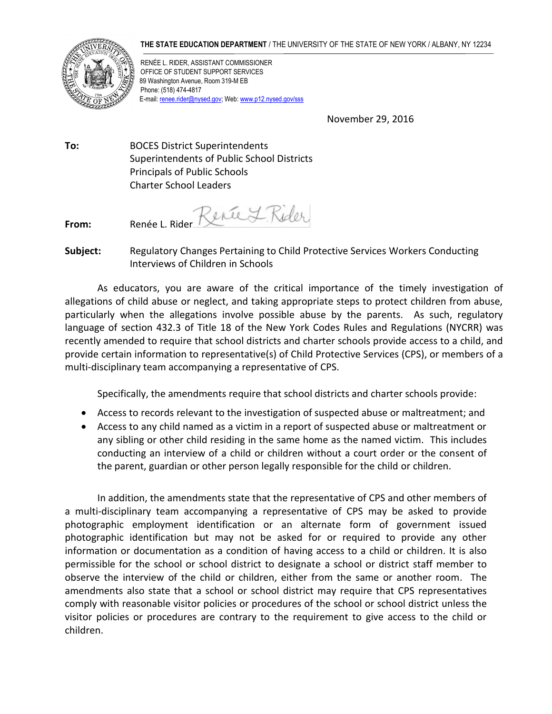## **THE STATE EDUCATION DEPARTMENT** / THE UNIVERSITY OF THE STATE OF NEW YORK / ALBANY, NY 12234



RENÉE L. RIDER, ASSISTANT COMMISSIONER OFFICE OF STUDENT SUPPORT SERVICES 89 Washington Avenue, Room 319-M EB Phone: (518) 474-4817 E-mail[: renee.rider@nysed.gov;](mailto:renee.rider@nysed.gov) Web[: www.p12.nysed.gov/sss](http://www.p12.nysed.gov/sss/)

November 29, 2016

**To:** BOCES District Superintendents Superintendents of Public School Districts Principals of Public Schools Charter School Leaders

From: Renée L. Rider Renée L. Rider

**Subject:** Regulatory Changes Pertaining to Child Protective Services Workers Conducting Interviews of Children in Schools

As educators, you are aware of the critical importance of the timely investigation of allegations of child abuse or neglect, and taking appropriate steps to protect children from abuse, particularly when the allegations involve possible abuse by the parents. As such, regulatory language of section 432.3 of Title 18 of the New York Codes Rules and Regulations (NYCRR) was recently amended to require that school districts and charter schools provide access to a child, and provide certain information to representative(s) of Child Protective Services (CPS), or members of a multi-disciplinary team accompanying a representative of CPS.

Specifically, the amendments require that school districts and charter schools provide:

- Access to records relevant to the investigation of suspected abuse or maltreatment; and
- Access to any child named as a victim in a report of suspected abuse or maltreatment or any sibling or other child residing in the same home as the named victim. This includes conducting an interview of a child or children without a court order or the consent of the parent, guardian or other person legally responsible for the child or children.

In addition, the amendments state that the representative of CPS and other members of a multi-disciplinary team accompanying a representative of CPS may be asked to provide photographic employment identification or an alternate form of government issued photographic identification but may not be asked for or required to provide any other information or documentation as a condition of having access to a child or children. It is also permissible for the school or school district to designate a school or district staff member to observe the interview of the child or children, either from the same or another room. The amendments also state that a school or school district may require that CPS representatives comply with reasonable visitor policies or procedures of the school or school district unless the visitor policies or procedures are contrary to the requirement to give access to the child or children.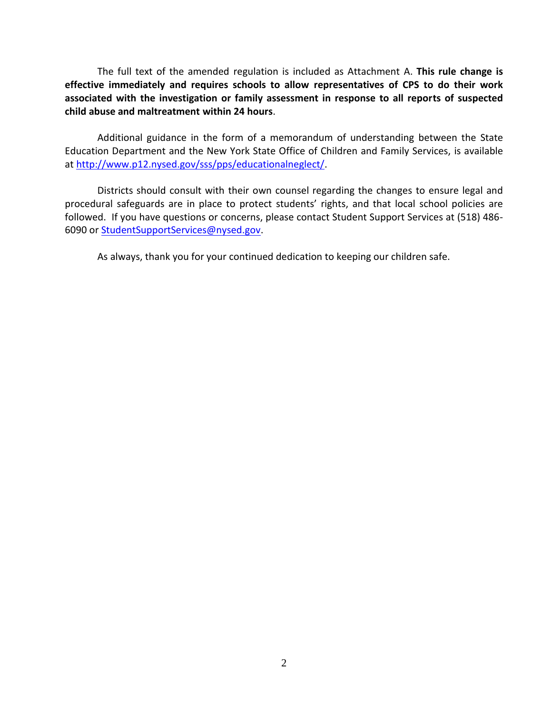The full text of the amended regulation is included as Attachment A. **This rule change is effective immediately and requires schools to allow representatives of CPS to do their work associated with the investigation or family assessment in response to all reports of suspected child abuse and maltreatment within 24 hours**.

Additional guidance in the form of a memorandum of understanding between the State Education Department and the New York State Office of Children and Family Services, is available at [http://www.p12.nysed.gov/sss/pps/educationalneglect/.](http://www.p12.nysed.gov/sss/pps/educationalneglect/)

Districts should consult with their own counsel regarding the changes to ensure legal and procedural safeguards are in place to protect students' rights, and that local school policies are followed. If you have questions or concerns, please contact Student Support Services at (518) 486- 6090 or [StudentSupportServices@nysed.gov.](mailto:StudentSupportServices@nysed.gov?subject=Chronic%20Absenteeism)

As always, thank you for your continued dedication to keeping our children safe.